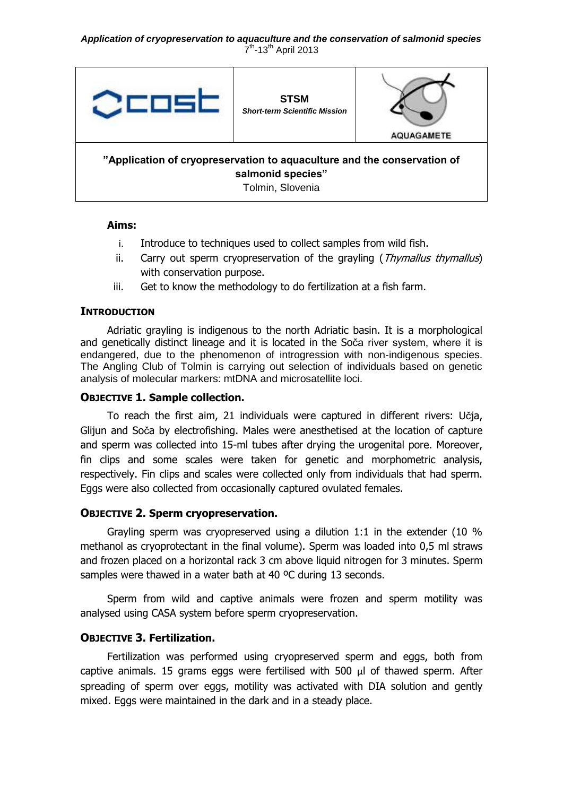

### **Aims:**

- i. Introduce to techniques used to collect samples from wild fish.
- ii. Carry out sperm cryopreservation of the grayling (*Thymallus thymallus*) with conservation purpose.
- iii. Get to know the methodology to do fertilization at a fish farm.

### **INTRODUCTION**

Adriatic grayling is indigenous to the north Adriatic basin. It is a morphological and genetically distinct lineage and it is located in the Soča river system, where it is endangered, due to the phenomenon of introgression with non-indigenous species. The Angling Club of Tolmin is carrying out selection of individuals based on genetic analysis of molecular markers: mtDNA and microsatellite loci.

### **OBJECTIVE 1. Sample collection.**

To reach the first aim, 21 individuals were captured in different rivers: Učja, Glijun and Soča by electrofishing. Males were anesthetised at the location of capture and sperm was collected into 15-ml tubes after drying the urogenital pore. Moreover, fin clips and some scales were taken for genetic and morphometric analysis, respectively. Fin clips and scales were collected only from individuals that had sperm. Eggs were also collected from occasionally captured ovulated females.

# **OBJECTIVE 2. Sperm cryopreservation.**

Grayling sperm was cryopreserved using a dilution 1:1 in the extender (10 % methanol as cryoprotectant in the final volume). Sperm was loaded into 0,5 ml straws and frozen placed on a horizontal rack 3 cm above liquid nitrogen for 3 minutes. Sperm samples were thawed in a water bath at 40 °C during 13 seconds.

Sperm from wild and captive animals were frozen and sperm motility was analysed using CASA system before sperm cryopreservation.

# **OBJECTIVE 3. Fertilization.**

Fertilization was performed using cryopreserved sperm and eggs, both from captive animals. 15 grams eggs were fertilised with 500 μl of thawed sperm. After spreading of sperm over eggs, motility was activated with DIA solution and gently mixed. Eggs were maintained in the dark and in a steady place.